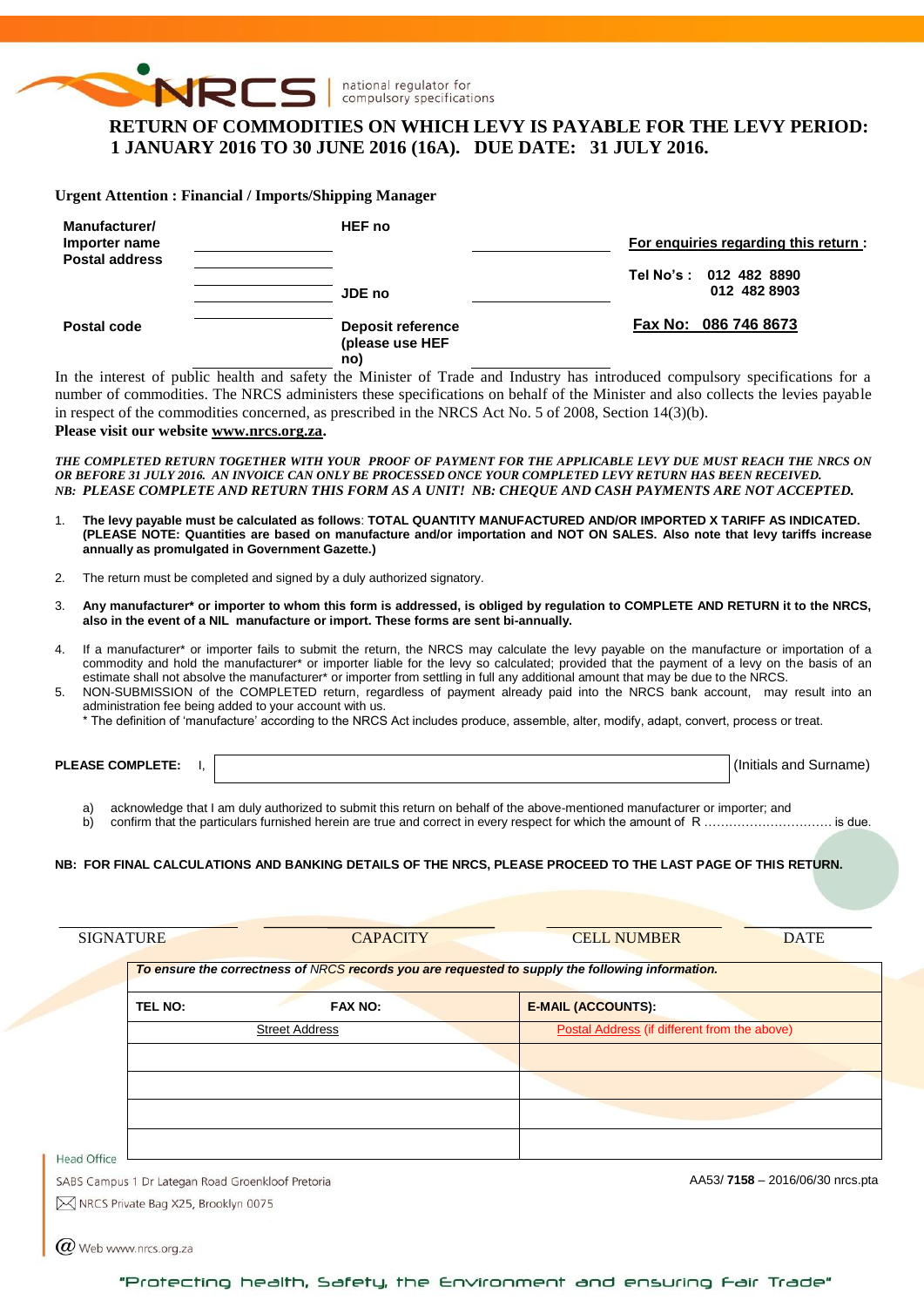

# **RETURN OF COMMODITIES ON WHICH LEVY IS PAYABLE FOR THE LEVY PERIOD: 1 JANUARY 2016 TO 30 JUNE 2016 (16A). DUE DATE: 31 JULY 2016.**

**Urgent Attention : Financial / Imports/Shipping Manager**

| <b>Manufacturer/</b><br>Importer name<br><b>Postal address</b> | <b>HEF</b> no                                      | For enquiries regarding this return:   |
|----------------------------------------------------------------|----------------------------------------------------|----------------------------------------|
|                                                                | JDE no                                             | Tel No's: 012 482 8890<br>012 482 8903 |
| Postal code                                                    | <b>Deposit reference</b><br>(please use HEF<br>no) | Fax No: 086 746 8673                   |

In the interest of public health and safety the Minister of Trade and Industry has introduced compulsory specifications for a number of commodities. The NRCS administers these specifications on behalf of the Minister and also collects the levies payable in respect of the commodities concerned, as prescribed in the NRCS Act No. 5 of 2008, Section 14(3)(b).

**Please visit our websit[e www.nrcs.org.za.](http://www.nrcs.org.za/)**

*THE COMPLETED RETURN TOGETHER WITH YOUR PROOF OF PAYMENT FOR THE APPLICABLE LEVY DUE MUST REACH THE NRCS ON OR BEFORE 31 JULY 2016. AN INVOICE CAN ONLY BE PROCESSED ONCE YOUR COMPLETED LEVY RETURN HAS BEEN RECEIVED. NB: PLEASE COMPLETE AND RETURN THIS FORM AS A UNIT! NB: CHEQUE AND CASH PAYMENTS ARE NOT ACCEPTED.*

- 1. **The levy payable must be calculated as follows**: **TOTAL QUANTITY MANUFACTURED AND/OR IMPORTED X TARIFF AS INDICATED. (PLEASE NOTE: Quantities are based on manufacture and/or importation and NOT ON SALES. Also note that levy tariffs increase annually as promulgated in Government Gazette.)**
- 2. The return must be completed and signed by a duly authorized signatory.
- 3. **Any manufacturer\* or importer to whom this form is addressed, is obliged by regulation to COMPLETE AND RETURN it to the NRCS, also in the event of a NIL manufacture or import. These forms are sent bi-annually.**
- 4. If a manufacturer\* or importer fails to submit the return, the NRCS may calculate the levy payable on the manufacture or importation of a commodity and hold the manufacturer\* or importer liable for the levy so calculated; provided that the payment of a levy on the basis of an estimate shall not absolve the manufacturer\* or importer from settling in full any additional amount that may be due to the NRCS.
- 5. NON-SUBMISSION of the COMPLETED return, regardless of payment already paid into the NRCS bank account, may result into an administration fee being added to your account with us.

\* The definition of 'manufacture' according to the NRCS Act includes produce, assemble, alter, modify, adapt, convert, process or treat.

**PLEASE COMPLETE:** I,  $\vert$ 

a) acknowledge that I am duly authorized to submit this return on behalf of the above-mentioned manufacturer or importer; and

b) confirm that the particulars furnished herein are true and correct in every respect for which the amount of R …………………………………. is due.

#### **NB: FOR FINAL CALCULATIONS AND BANKING DETAILS OF THE NRCS, PLEASE PROCEED TO THE LAST PAGE OF THIS RETURN.**

| <b>SIGNATURE</b>                                  | <b>CAPACITY</b>       | <b>CELL NUMBER</b>                                                                               | <b>DATE</b>                     |
|---------------------------------------------------|-----------------------|--------------------------------------------------------------------------------------------------|---------------------------------|
|                                                   |                       | To ensure the correctness of NRCS records you are requested to supply the following information. |                                 |
| TEL NO:                                           | <b>FAX NO:</b>        | <b>E-MAIL (ACCOUNTS):</b>                                                                        |                                 |
|                                                   | <b>Street Address</b> | Postal Address (if different from the above)                                                     |                                 |
|                                                   |                       |                                                                                                  |                                 |
|                                                   |                       |                                                                                                  |                                 |
|                                                   |                       |                                                                                                  |                                 |
|                                                   |                       |                                                                                                  |                                 |
| <b>Head Office</b>                                |                       |                                                                                                  |                                 |
| SABS Campus 1 Dr Lategan Road Groenkloof Pretoria |                       |                                                                                                  | AA53/7158 - 2016/06/30 nrcs.pta |
| M NRCS Private Bag X25, Brooklyn 0075             |                       |                                                                                                  |                                 |
|                                                   |                       |                                                                                                  |                                 |

 $\varpi$  Web www.nrcs.org.za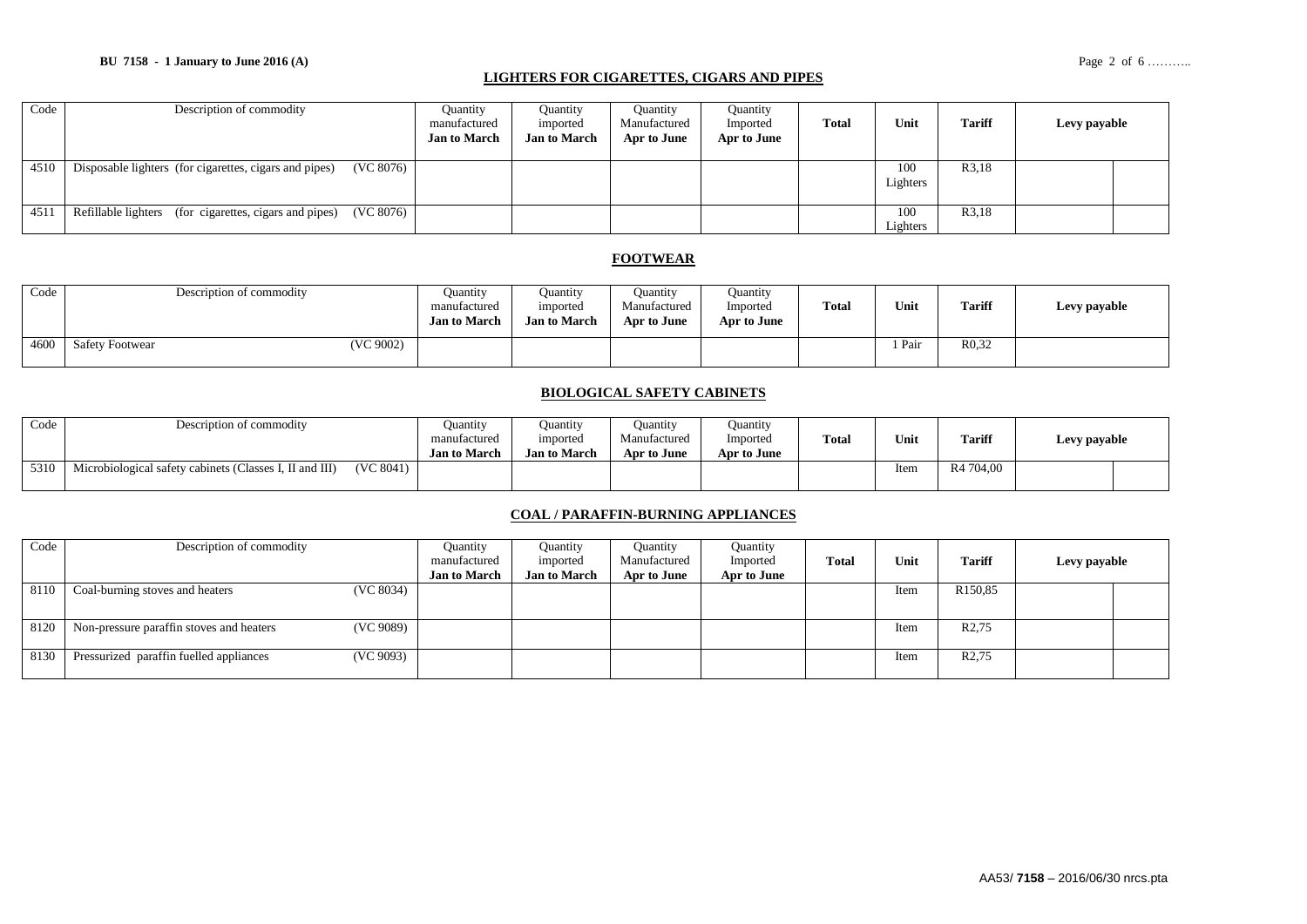#### **LIGHTERS FOR CIGARETTES, CIGARS AND PIPES**

| Code | Description of commodity                                            | <b>Ouantity</b><br>manufactured<br><b>Jan to March</b> | Ouantity<br>imported<br><b>Jan to March</b> | Ouantity<br>Manufactured<br>Apr to June | Ouantity<br>Imported<br>Apr to June | <b>Total</b> | Unit            | <b>Tariff</b>      | Levy payable |  |
|------|---------------------------------------------------------------------|--------------------------------------------------------|---------------------------------------------|-----------------------------------------|-------------------------------------|--------------|-----------------|--------------------|--------------|--|
| 4510 | (VC 8076)<br>Disposable lighters (for cigarettes, cigars and pipes) |                                                        |                                             |                                         |                                     |              | 100<br>Lighters | R <sub>3</sub> ,18 |              |  |
| 4511 | (VC 8076)<br>Refillable lighters (for cigarettes, cigars and pipes) |                                                        |                                             |                                         |                                     |              | 100<br>Lighters | R3,18              |              |  |

## **FOOTWEAR**

| Code | Description of commodity            | Ouantity<br>manufactured<br><b>Jan to March</b> | Ouantity<br>imported<br><b>Jan to March</b> | Ouantity<br>Manufactured<br>Apr to June | <b>Ouantity</b><br>Imported<br>Apr to June | <b>Total</b> | Unit | <b>Tariff</b>      | Levy payable |
|------|-------------------------------------|-------------------------------------------------|---------------------------------------------|-----------------------------------------|--------------------------------------------|--------------|------|--------------------|--------------|
| 4600 | (VC 9002)<br><b>Safety Footwear</b> |                                                 |                                             |                                         |                                            |              | Pair | R <sub>0</sub> .32 |              |

### **BIOLOGICAL SAFETY CABINETS**

| Code | Description of commodity                                             | Ouantity<br>manufactured<br><b>Jan to March</b> | Ouantity<br>imported<br><b>Jan to March</b> | Ouantity<br>Manufactured<br>Apr to June | Ouantity<br>Imported<br>Apr to June | Total | Unit | <b>Tariff</b>         | Levy payable |  |
|------|----------------------------------------------------------------------|-------------------------------------------------|---------------------------------------------|-----------------------------------------|-------------------------------------|-------|------|-----------------------|--------------|--|
| 5310 | (VC 8041)<br>Microbiological safety cabinets (Classes I, II and III) |                                                 |                                             |                                         |                                     |       | Item | R <sub>4</sub> 704.00 |              |  |

#### **COAL / PARAFFIN-BURNING APPLIANCES**

| Code | Description of commodity                              | Ouantity            | Ouantity            | <b>Quantity</b> | Quantity    |       |      |                     |              |  |
|------|-------------------------------------------------------|---------------------|---------------------|-----------------|-------------|-------|------|---------------------|--------------|--|
|      |                                                       | manufactured        | imported            | Manufactured    | Imported    | Total | Unit | Tariff              | Levy payable |  |
|      |                                                       | <b>Jan to March</b> | <b>Jan to March</b> | Apr to June     | Apr to June |       |      |                     |              |  |
| 8110 | (VC 8034)<br>Coal-burning stoves and heaters          |                     |                     |                 |             |       | Item | R <sub>150,85</sub> |              |  |
|      |                                                       |                     |                     |                 |             |       |      |                     |              |  |
| 8120 | (VC 9089)<br>Non-pressure paraffin stoves and heaters |                     |                     |                 |             |       | Item | R <sub>2</sub> ,75  |              |  |
| 8130 | (VC 9093)<br>Pressurized paraffin fuelled appliances  |                     |                     |                 |             |       | Item | R <sub>2</sub> ,75  |              |  |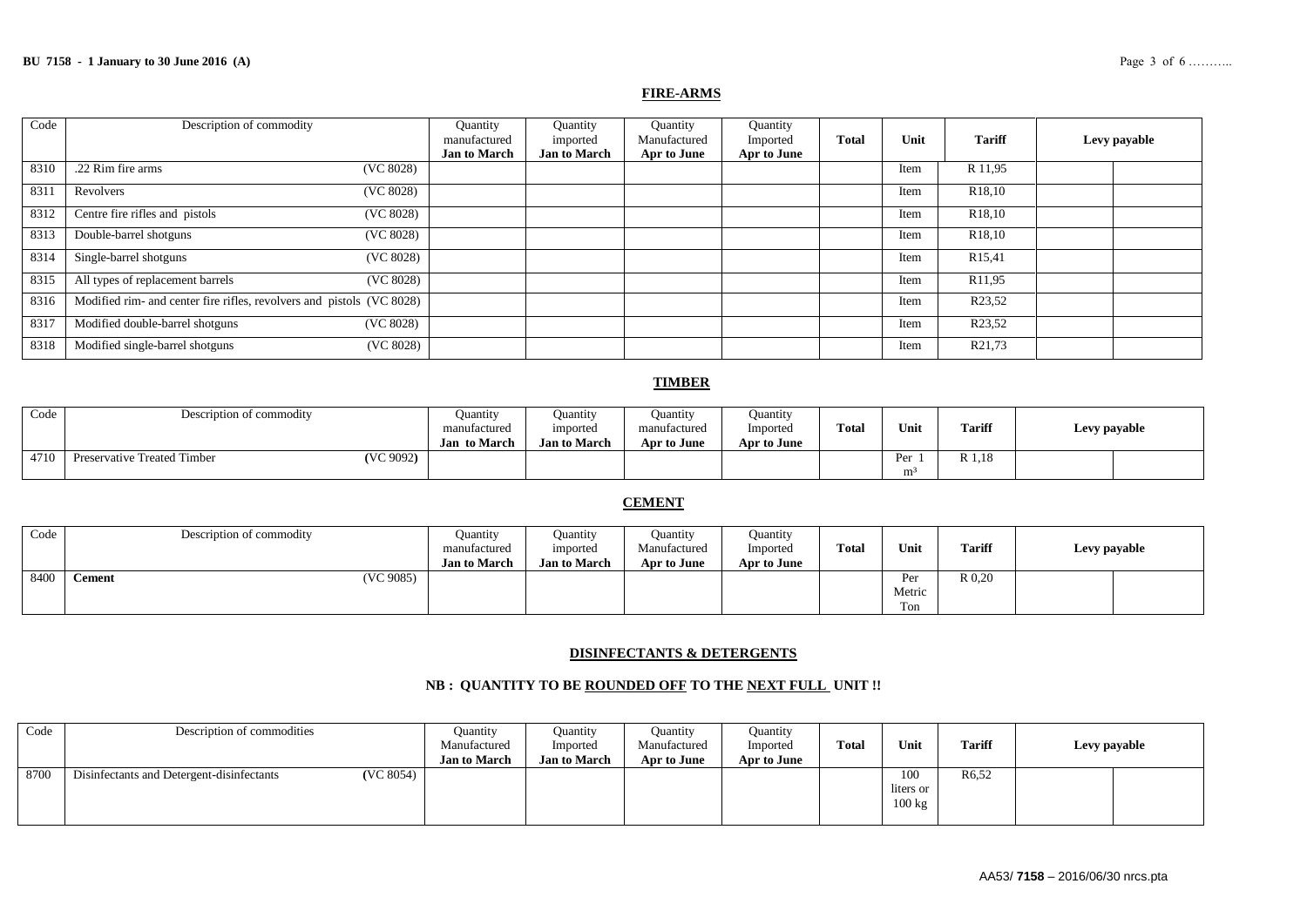#### **FIRE-ARMS**

| Code | Description of commodity                                              | Quantity<br>manufactured<br><b>Jan to March</b> | Quantity<br>imported<br><b>Jan to March</b> | Quantity<br>Manufactured<br>Apr to June | Quantity<br>Imported<br>Apr to June | <b>Total</b> | Unit | <b>Tariff</b>       | Levy payable |  |
|------|-----------------------------------------------------------------------|-------------------------------------------------|---------------------------------------------|-----------------------------------------|-------------------------------------|--------------|------|---------------------|--------------|--|
| 8310 | .22 Rim fire arms<br>(VC 8028)                                        |                                                 |                                             |                                         |                                     |              | Item | R 11,95             |              |  |
| 831  | (VC 8028)<br>Revolvers                                                |                                                 |                                             |                                         |                                     |              | Item | R <sub>18</sub> ,10 |              |  |
| 8312 | Centre fire rifles and pistols<br>(VC 8028)                           |                                                 |                                             |                                         |                                     |              | Item | R <sub>18</sub> ,10 |              |  |
| 8313 | Double-barrel shotguns<br>(VC 8028)                                   |                                                 |                                             |                                         |                                     |              | Item | R <sub>18</sub> ,10 |              |  |
| 8314 | Single-barrel shotguns<br>(VC 8028)                                   |                                                 |                                             |                                         |                                     |              | Item | R <sub>15,41</sub>  |              |  |
| 8315 | All types of replacement barrels<br>(VC 8028)                         |                                                 |                                             |                                         |                                     |              | Item | R <sub>11,95</sub>  |              |  |
| 8316 | Modified rim- and center fire rifles, revolvers and pistols (VC 8028) |                                                 |                                             |                                         |                                     |              | Item | R23,52              |              |  |
| 8317 | Modified double-barrel shotguns<br>(VC 8028)                          |                                                 |                                             |                                         |                                     |              | Item | R <sub>23</sub> ,52 |              |  |
| 8318 | Modified single-barrel shotguns<br>(VC 8028)                          |                                                 |                                             |                                         |                                     |              | Item | R <sub>21,73</sub>  |              |  |

#### **TIMBER**

| Code | Description of commodity                 | Ouantity            | Ouantity            | Ouantity     | <b>Ouantity</b> |              |      |               |              |
|------|------------------------------------------|---------------------|---------------------|--------------|-----------------|--------------|------|---------------|--------------|
|      |                                          | manufactured        | imported            | manufactured | Imported        | <b>Total</b> | Unit | <b>Tariff</b> | Levy payable |
|      |                                          | <b>Jan to March</b> | <b>Jan to March</b> | Apr to June  | Apr to June     |              |      |               |              |
| 4710 | (VC 9092)<br>Preservative Treated Timber |                     |                     |              |                 |              | Per  | R 1,18        |              |
|      |                                          |                     |                     |              |                 |              | m    |               |              |

### **CEMENT**

| Code | Description of commodity   | Ouantity<br>manufactured<br><b>Jan to March</b> | Ouantity<br>imported<br><b>Jan to March</b> | <b>Quantity</b><br>Manufactured<br>Apr to June | Ouantity<br>Imported<br>Apr to June | <b>Total</b> | Unit                 | <b>Tariff</b> | Levy payable |
|------|----------------------------|-------------------------------------------------|---------------------------------------------|------------------------------------------------|-------------------------------------|--------------|----------------------|---------------|--------------|
| 8400 | (VC 9085)<br><b>Cement</b> |                                                 |                                             |                                                |                                     |              | Per<br>Metric<br>Ton | $R_{0,20}$    |              |

#### **DISINFECTANTS & DETERGENTS**

#### **NB : QUANTITY TO BE ROUNDED OFF TO THE NEXT FULL UNIT !!**

| Code | Description of commodities                             | Quantity<br>Manufactured<br><b>Jan to March</b> | Ouantity<br>Imported<br><b>Jan to March</b> | <b>Quantity</b><br>Manufactured<br>Apr to June | Ouantity<br>Imported<br>Apr to June | <b>Total</b> | Unit                                 | <b>Tariff</b>      | Levy payable |  |
|------|--------------------------------------------------------|-------------------------------------------------|---------------------------------------------|------------------------------------------------|-------------------------------------|--------------|--------------------------------------|--------------------|--------------|--|
| 8700 | (VC 8054)<br>Disinfectants and Detergent-disinfectants |                                                 |                                             |                                                |                                     |              | 100<br>liters or<br>$100 \text{ kg}$ | R <sub>6</sub> ,52 |              |  |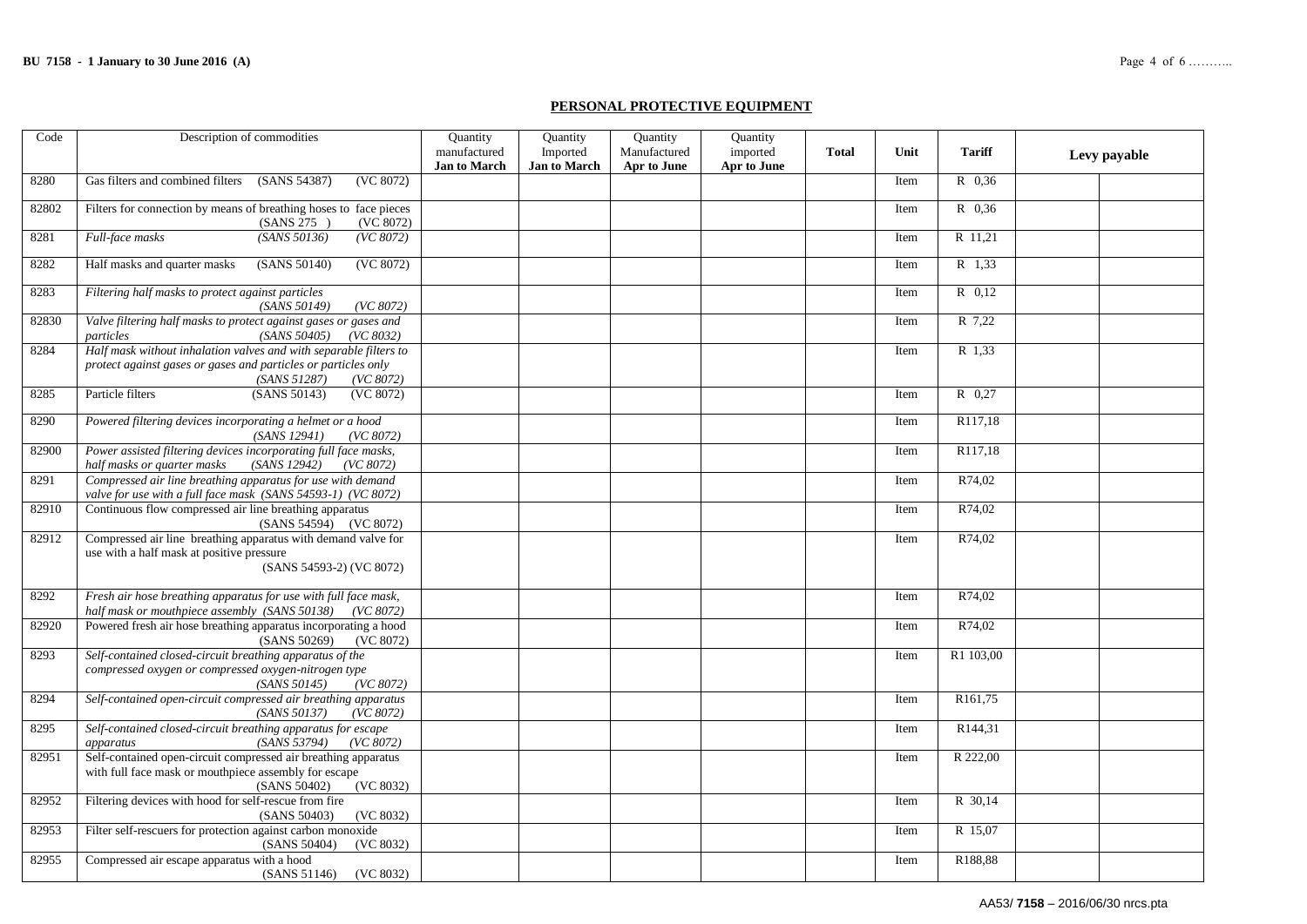#### **PERSONAL PROTECTIVE EQUIPMENT**

| Code  | Description of commodities                                                                                                                                       | Quantity                            | Quantity                        | Quantity                    | Quantity                |              |      |                     |              |
|-------|------------------------------------------------------------------------------------------------------------------------------------------------------------------|-------------------------------------|---------------------------------|-----------------------------|-------------------------|--------------|------|---------------------|--------------|
|       |                                                                                                                                                                  | manufactured<br><b>Jan to March</b> | Imported<br><b>Jan to March</b> | Manufactured<br>Apr to June | imported<br>Apr to June | <b>Total</b> | Unit | <b>Tariff</b>       | Levy payable |
| 8280  | Gas filters and combined filters<br>(SANS 54387)<br>(VC 8072)                                                                                                    |                                     |                                 |                             |                         |              | Item | R 0.36              |              |
| 82802 | Filters for connection by means of breathing hoses to face pieces<br>(VC 8072)<br>(SANS 275)                                                                     |                                     |                                 |                             |                         |              | Item | R 0,36              |              |
| 8281  | Full-face masks<br>(SANS 50136)<br>(VC 8072)                                                                                                                     |                                     |                                 |                             |                         |              | Item | R 11,21             |              |
| 8282  | Half masks and quarter masks<br>(SANS 50140)<br>(VC 8072)                                                                                                        |                                     |                                 |                             |                         |              | Item | R 1,33              |              |
| 8283  | Filtering half masks to protect against particles<br>(SANS 50149)<br>(VC 8072)                                                                                   |                                     |                                 |                             |                         |              | Item | R 0.12              |              |
| 82830 | Valve filtering half masks to protect against gases or gases and<br>(SANS 50405)<br>particles<br>(VC 8032)                                                       |                                     |                                 |                             |                         |              | Item | R 7.22              |              |
| 8284  | Half mask without inhalation valves and with separable filters to<br>protect against gases or gases and particles or particles only<br>(SANS 51287)<br>(VC 8072) |                                     |                                 |                             |                         |              | Item | R 1,33              |              |
| 8285  | Particle filters<br>(SANS 50143)<br>(VC 8072)                                                                                                                    |                                     |                                 |                             |                         |              | Item | $R$ 0.27            |              |
| 8290  | Powered filtering devices incorporating a helmet or a hood<br>(SANS 12941)<br>(VC 8072)                                                                          |                                     |                                 |                             |                         |              | Item | R117,18             |              |
| 82900 | Power assisted filtering devices incorporating full face masks,<br>half masks or quarter masks<br>(SANS 12942)<br>(VC 8072)                                      |                                     |                                 |                             |                         |              | Item | R117,18             |              |
| 8291  | Compressed air line breathing apparatus for use with demand<br>valve for use with a full face mask (SANS 54593-1) (VC 8072)                                      |                                     |                                 |                             |                         |              | Item | R74,02              |              |
| 82910 | Continuous flow compressed air line breathing apparatus<br>(SANS 54594) (VC 8072)                                                                                |                                     |                                 |                             |                         |              | Item | R74,02              |              |
| 82912 | Compressed air line breathing apparatus with demand valve for<br>use with a half mask at positive pressure<br>(SANS 54593-2) (VC 8072)                           |                                     |                                 |                             |                         |              | Item | R74,02              |              |
| 8292  | Fresh air hose breathing apparatus for use with full face mask,<br>half mask or mouthpiece assembly (SANS 50138) (VC 8072)                                       |                                     |                                 |                             |                         |              | Item | R74,02              |              |
| 82920 | Powered fresh air hose breathing apparatus incorporating a hood<br>(SANS 50269)<br>(VC 8072)                                                                     |                                     |                                 |                             |                         |              | Item | R74,02              |              |
| 8293  | Self-contained closed-circuit breathing apparatus of the<br>compressed oxygen or compressed oxygen-nitrogen type<br>(SANS 50145)<br>(VC 8072)                    |                                     |                                 |                             |                         |              | Item | R1 103,00           |              |
| 8294  | Self-contained open-circuit compressed air breathing apparatus<br>(SANS 50137)<br>(VC 8072)                                                                      |                                     |                                 |                             |                         |              | Item | R <sub>161,75</sub> |              |
| 8295  | Self-contained closed-circuit breathing apparatus for escape<br>(SANS 53794)<br>(VC 8072)<br>apparatus                                                           |                                     |                                 |                             |                         |              | Item | R144,31             |              |
| 82951 | Self-contained open-circuit compressed air breathing apparatus<br>with full face mask or mouthpiece assembly for escape<br>(VC 8032)<br>(SANS 50402)             |                                     |                                 |                             |                         |              | Item | R 222,00            |              |
| 82952 | Filtering devices with hood for self-rescue from fire<br>(SANS 50403)<br>(VC 8032)                                                                               |                                     |                                 |                             |                         |              | Item | R 30,14             |              |
| 82953 | Filter self-rescuers for protection against carbon monoxide<br>(SANS 50404)<br>(VC 8032)                                                                         |                                     |                                 |                             |                         |              | Item | R 15,07             |              |
| 82955 | Compressed air escape apparatus with a hood<br>(SANS 51146)<br>(VC 8032)                                                                                         |                                     |                                 |                             |                         |              | Item | R188,88             |              |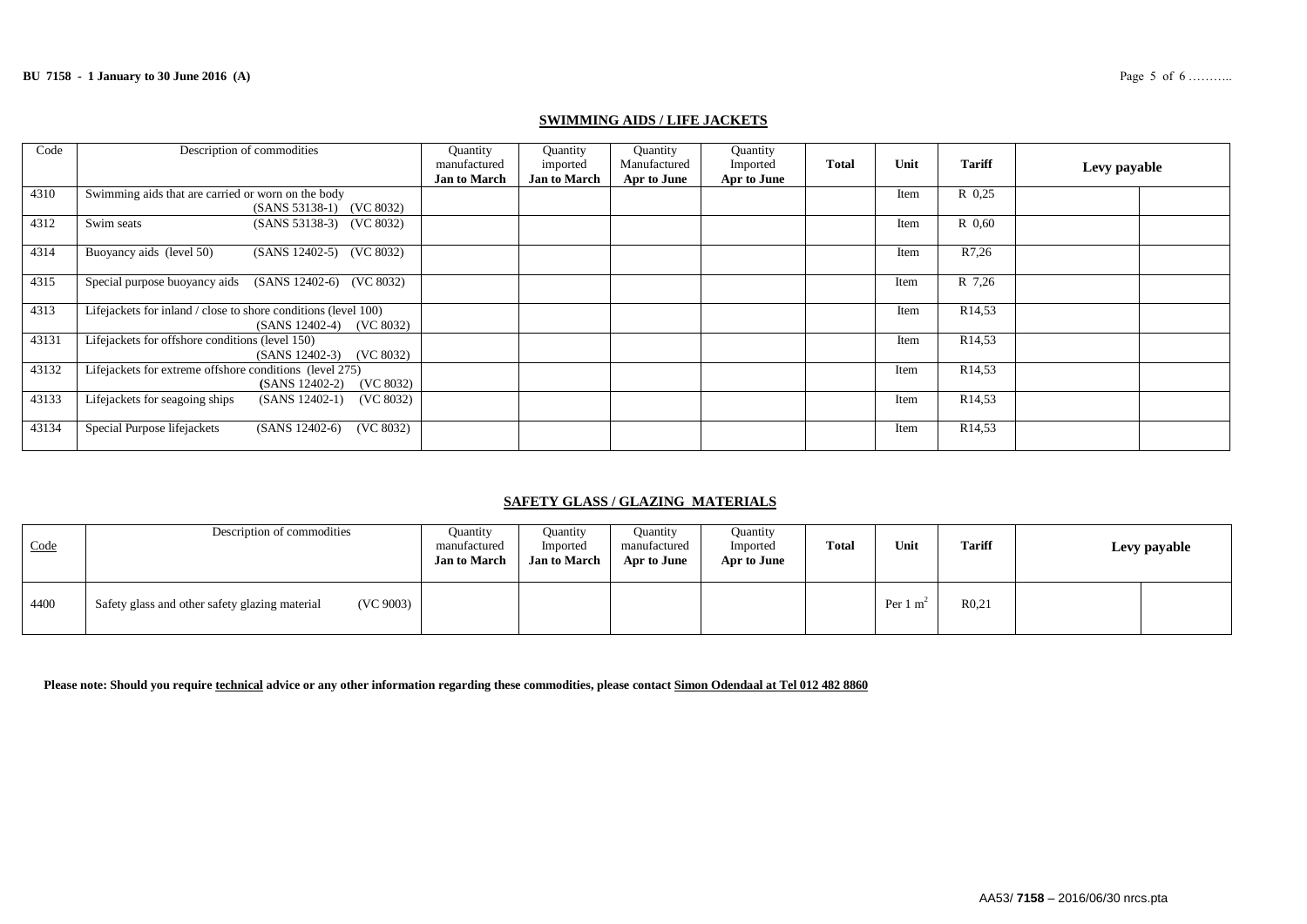| Code  | Description of commodities                                      | Quantity            | Quantity            | Quantity     | Quantity    |              |      |                    |              |  |
|-------|-----------------------------------------------------------------|---------------------|---------------------|--------------|-------------|--------------|------|--------------------|--------------|--|
|       |                                                                 | manufactured        | imported            | Manufactured | Imported    | <b>Total</b> | Unit | <b>Tariff</b>      | Levy payable |  |
|       |                                                                 | <b>Jan to March</b> | <b>Jan to March</b> | Apr to June  | Apr to June |              |      |                    |              |  |
| 4310  | Swimming aids that are carried or worn on the body              |                     |                     |              |             |              | Item | R 0.25             |              |  |
|       | (SANS 53138-1) (VC 8032)                                        |                     |                     |              |             |              |      |                    |              |  |
| 4312  | Swim seats<br>(SANS 53138-3) (VC 8032)                          |                     |                     |              |             |              | Item | R 0.60             |              |  |
| 4314  | Buoyancy aids (level 50)<br>(SANS 12402-5) (VC 8032)            |                     |                     |              |             |              |      | R7,26              |              |  |
|       |                                                                 |                     |                     |              |             |              | Item |                    |              |  |
| 4315  | Special purpose buoyancy aids<br>(SANS 12402-6) (VC 8032)       |                     |                     |              |             |              | Item | R 7.26             |              |  |
| 4313  | Lifejackets for inland / close to shore conditions (level 100)  |                     |                     |              |             |              | Item | R <sub>14,53</sub> |              |  |
|       | (SANS 12402-4) (VC 8032)                                        |                     |                     |              |             |              |      |                    |              |  |
| 43131 | Lifejackets for offshore conditions (level 150)                 |                     |                     |              |             |              | Item | R <sub>14,53</sub> |              |  |
|       | (SANS 12402-3) (VC 8032)                                        |                     |                     |              |             |              |      |                    |              |  |
| 43132 | Lifejackets for extreme offshore conditions (level 275)         |                     |                     |              |             |              | Item | R <sub>14,53</sub> |              |  |
|       | (VC 8032)<br>$(SANS 12402-2)$                                   |                     |                     |              |             |              |      |                    |              |  |
| 43133 | Lifejackets for seagoing ships<br>$(SANS 12402-1)$<br>(VC 8032) |                     |                     |              |             |              | Item | R <sub>14,53</sub> |              |  |
|       |                                                                 |                     |                     |              |             |              |      |                    |              |  |
| 43134 | Special Purpose lifejackets<br>(VC 8032)<br>$(SANS 12402-6)$    |                     |                     |              |             |              | Item | R <sub>14,53</sub> |              |  |

#### **SWIMMING AIDS / LIFE JACKETS**

# **SAFETY GLASS / GLAZING MATERIALS**

| Code | Description of commodities                                  | <b>Quantity</b><br>manufactured<br><b>Jan to March</b> | <b>Ouantity</b><br>Imported<br><b>Jan to March</b> | <b>Quantity</b><br>manufactured<br>Apr to June | <b>Ouantity</b><br>Imported<br>Apr to June | Total | Unit                | <b>Tariff</b>     | Levy payable |
|------|-------------------------------------------------------------|--------------------------------------------------------|----------------------------------------------------|------------------------------------------------|--------------------------------------------|-------|---------------------|-------------------|--------------|
| 4400 | (VC 9003)<br>Safety glass and other safety glazing material |                                                        |                                                    |                                                |                                            |       | Per $1 \text{ m}^2$ | R <sub>0.21</sub> |              |

**Please note: Should you require technical advice or any other information regarding these commodities, please contact Simon Odendaal at Tel 012 482 8860**